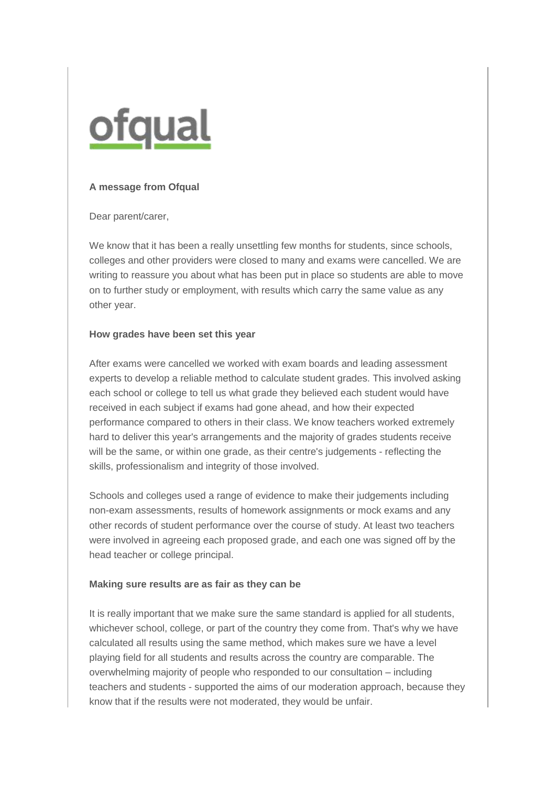

## **A message from Ofqual**

Dear parent/carer,

We know that it has been a really unsettling few months for students, since schools, colleges and other providers were closed to many and exams were cancelled. We are writing to reassure you about what has been put in place so students are able to move on to further study or employment, with results which carry the same value as any other year.

## **How grades have been set this year**

After exams were cancelled we worked with exam boards and leading assessment experts to develop a reliable method to calculate student grades. This involved asking each school or college to tell us what grade they believed each student would have received in each subject if exams had gone ahead, and how their expected performance compared to others in their class. We know teachers worked extremely hard to deliver this year's arrangements and the majority of grades students receive will be the same, or within one grade, as their centre's judgements - reflecting the skills, professionalism and integrity of those involved.

Schools and colleges used a range of evidence to make their judgements including non-exam assessments, results of homework assignments or mock exams and any other records of student performance over the course of study. At least two teachers were involved in agreeing each proposed grade, and each one was signed off by the head teacher or college principal.

## **Making sure results are as fair as they can be**

It is really important that we make sure the same standard is applied for all students, whichever school, college, or part of the country they come from. That's why we have calculated all results using the same method, which makes sure we have a level playing field for all students and results across the country are comparable. The overwhelming majority of people who responded to our consultation – including teachers and students - supported the aims of our moderation approach, because they know that if the results were not moderated, they would be unfair.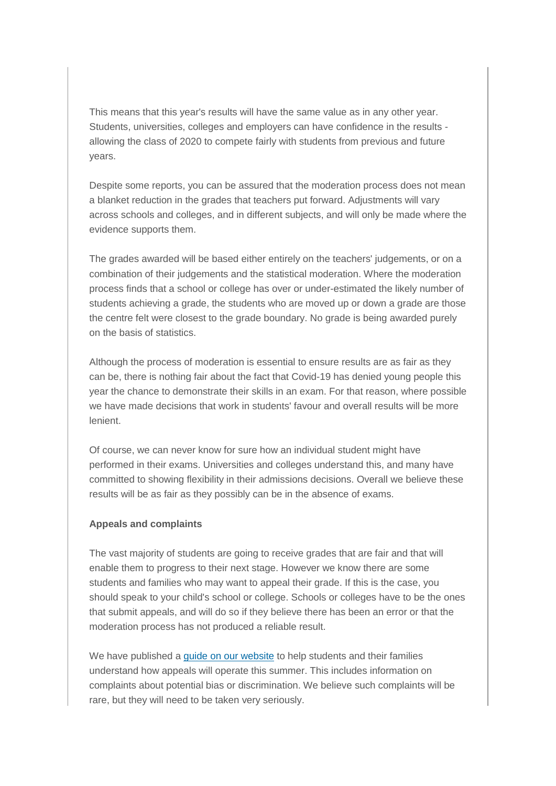This means that this year's results will have the same value as in any other year. Students, universities, colleges and employers can have confidence in the results allowing the class of 2020 to compete fairly with students from previous and future years.

Despite some reports, you can be assured that the moderation process does not mean a blanket reduction in the grades that teachers put forward. Adjustments will vary across schools and colleges, and in different subjects, and will only be made where the evidence supports them.

The grades awarded will be based either entirely on the teachers' judgements, or on a combination of their judgements and the statistical moderation. Where the moderation process finds that a school or college has over or under-estimated the likely number of students achieving a grade, the students who are moved up or down a grade are those the centre felt were closest to the grade boundary. No grade is being awarded purely on the basis of statistics.

Although the process of moderation is essential to ensure results are as fair as they can be, there is nothing fair about the fact that Covid-19 has denied young people this year the chance to demonstrate their skills in an exam. For that reason, where possible we have made decisions that work in students' favour and overall results will be more lenient.

Of course, we can never know for sure how an individual student might have performed in their exams. Universities and colleges understand this, and many have committed to showing flexibility in their admissions decisions. Overall we believe these results will be as fair as they possibly can be in the absence of exams.

## **Appeals and complaints**

The vast majority of students are going to receive grades that are fair and that will enable them to progress to their next stage. However we know there are some students and families who may want to appeal their grade. If this is the case, you should speak to your child's school or college. Schools or colleges have to be the ones that submit appeals, and will do so if they believe there has been an error or that the moderation process has not produced a reliable result.

We have published a [guide on our website](http://edu15.sprintsend.co.uk/b1/el.php?SID=2396436&STATID=250&LID=463&FID=H) to help students and their families understand how appeals will operate this summer. This includes information on complaints about potential bias or discrimination. We believe such complaints will be rare, but they will need to be taken very seriously.